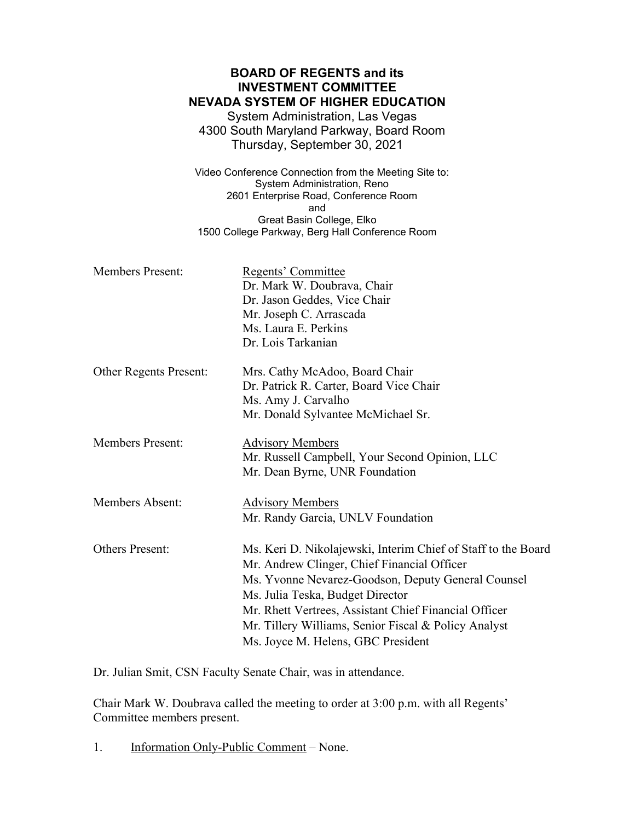## **BOARD OF REGENTS and its INVESTMENT COMMITTEE NEVADA SYSTEM OF HIGHER EDUCATION** System Administration, Las Vegas 4300 South Maryland Parkway, Board Room Thursday, September 30, 2021 Video Conference Connection from the Meeting Site to: System Administration, Reno 2601 Enterprise Road, Conference Room and Great Basin College, Elko 1500 College Parkway, Berg Hall Conference Room Members Present: Regents' Committee Dr. Mark W. Doubrava, Chair Dr. Jason Geddes, Vice Chair Mr. Joseph C. Arrascada Ms. Laura E. Perkins Dr. Lois Tarkanian Other Regents Present: Mrs. Cathy McAdoo, Board Chair Dr. Patrick R. Carter, Board Vice Chair Ms. Amy J. Carvalho Mr. Donald Sylvantee McMichael Sr. Members Present: Advisory Members Mr. Russell Campbell, Your Second Opinion, LLC Mr. Dean Byrne, UNR Foundation Members Absent: Advisory Members Mr. Randy Garcia, UNLV Foundation Others Present: Ms. Keri D. Nikolajewski, Interim Chief of Staff to the Board Mr. Andrew Clinger, Chief Financial Officer Ms. Yvonne Nevarez-Goodson, Deputy General Counsel Ms. Julia Teska, Budget Director Mr. Rhett Vertrees, Assistant Chief Financial Officer Mr. Tillery Williams, Senior Fiscal & Policy Analyst Ms. Joyce M. Helens, GBC President

Dr. Julian Smit, CSN Faculty Senate Chair, was in attendance.

Chair Mark W. Doubrava called the meeting to order at 3:00 p.m. with all Regents' Committee members present.

1. Information Only-Public Comment – None.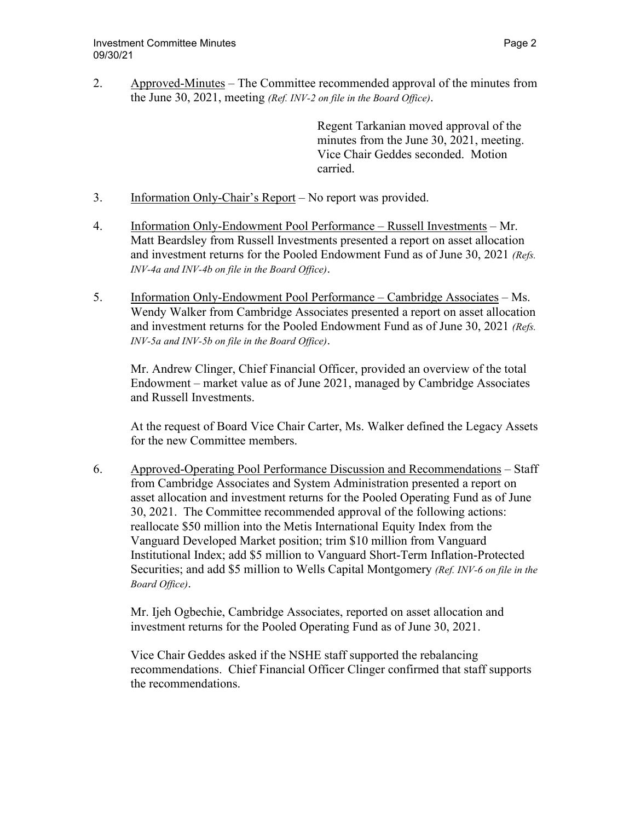2. Approved-Minutes – The Committee recommended approval of the minutes from the June 30, 2021, meeting *(Ref. INV-2 on file in the Board Office)*.

> Regent Tarkanian moved approval of the minutes from the June 30, 2021, meeting. Vice Chair Geddes seconded. Motion carried.

- 3. Information Only-Chair's Report No report was provided.
- 4. Information Only-Endowment Pool Performance Russell Investments Mr. Matt Beardsley from Russell Investments presented a report on asset allocation and investment returns for the Pooled Endowment Fund as of June 30, 2021 *(Refs. INV-4a and INV-4b on file in the Board Office)*.
- 5. Information Only-Endowment Pool Performance Cambridge Associates Ms. Wendy Walker from Cambridge Associates presented a report on asset allocation and investment returns for the Pooled Endowment Fund as of June 30, 2021 *(Refs. INV-5a and INV-5b on file in the Board Office)*.

Mr. Andrew Clinger, Chief Financial Officer, provided an overview of the total Endowment – market value as of June 2021, managed by Cambridge Associates and Russell Investments.

At the request of Board Vice Chair Carter, Ms. Walker defined the Legacy Assets for the new Committee members.

6. Approved-Operating Pool Performance Discussion and Recommendations – Staff from Cambridge Associates and System Administration presented a report on asset allocation and investment returns for the Pooled Operating Fund as of June 30, 2021. The Committee recommended approval of the following actions: reallocate \$50 million into the Metis International Equity Index from the Vanguard Developed Market position; trim \$10 million from Vanguard Institutional Index; add \$5 million to Vanguard Short-Term Inflation-Protected Securities; and add \$5 million to Wells Capital Montgomery *(Ref. INV-6 on file in the Board Office)*.

 Mr. Ijeh Ogbechie, Cambridge Associates, reported on asset allocation and investment returns for the Pooled Operating Fund as of June 30, 2021.

Vice Chair Geddes asked if the NSHE staff supported the rebalancing recommendations. Chief Financial Officer Clinger confirmed that staff supports the recommendations.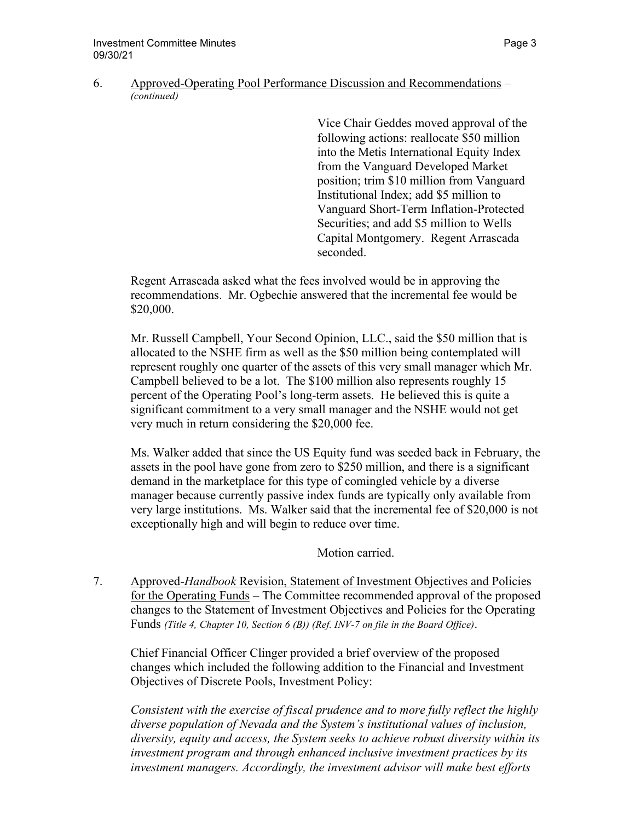## 6. Approved-Operating Pool Performance Discussion and Recommendations – *(continued)*

Vice Chair Geddes moved approval of the following actions: reallocate \$50 million into the Metis International Equity Index from the Vanguard Developed Market position; trim \$10 million from Vanguard Institutional Index; add \$5 million to Vanguard Short-Term Inflation-Protected Securities; and add \$5 million to Wells Capital Montgomery. Regent Arrascada seconded.

Regent Arrascada asked what the fees involved would be in approving the recommendations. Mr. Ogbechie answered that the incremental fee would be \$20,000.

Mr. Russell Campbell, Your Second Opinion, LLC., said the \$50 million that is allocated to the NSHE firm as well as the \$50 million being contemplated will represent roughly one quarter of the assets of this very small manager which Mr. Campbell believed to be a lot. The \$100 million also represents roughly 15 percent of the Operating Pool's long-term assets. He believed this is quite a significant commitment to a very small manager and the NSHE would not get very much in return considering the \$20,000 fee.

Ms. Walker added that since the US Equity fund was seeded back in February, the assets in the pool have gone from zero to \$250 million, and there is a significant demand in the marketplace for this type of comingled vehicle by a diverse manager because currently passive index funds are typically only available from very large institutions. Ms. Walker said that the incremental fee of \$20,000 is not exceptionally high and will begin to reduce over time.

Motion carried.

7. Approved-*Handbook* Revision, Statement of Investment Objectives and Policies for the Operating Funds – The Committee recommended approval of the proposed changes to the Statement of Investment Objectives and Policies for the Operating Funds *(Title 4, Chapter 10, Section 6 (B)) (Ref. INV-7 on file in the Board Office)*.

Chief Financial Officer Clinger provided a brief overview of the proposed changes which included the following addition to the Financial and Investment Objectives of Discrete Pools, Investment Policy:

*Consistent with the exercise of fiscal prudence and to more fully reflect the highly diverse population of Nevada and the System's institutional values of inclusion, diversity, equity and access, the System seeks to achieve robust diversity within its investment program and through enhanced inclusive investment practices by its investment managers. Accordingly, the investment advisor will make best efforts*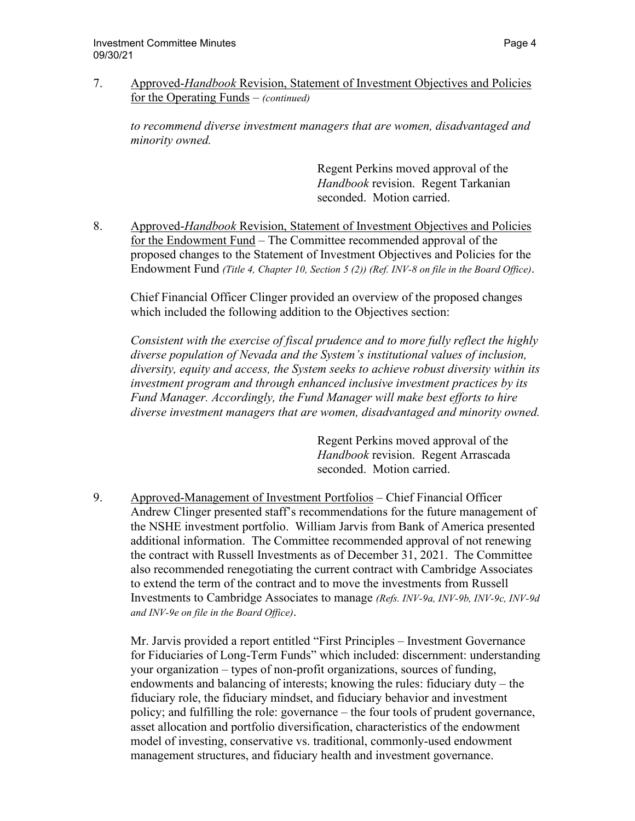7. Approved-*Handbook* Revision, Statement of Investment Objectives and Policies for the Operating Funds – *(continued)*

*to recommend diverse investment managers that are women, disadvantaged and minority owned.* 

> Regent Perkins moved approval of the *Handbook* revision. Regent Tarkanian seconded. Motion carried.

8. Approved-*Handbook* Revision, Statement of Investment Objectives and Policies for the Endowment Fund – The Committee recommended approval of the proposed changes to the Statement of Investment Objectives and Policies for the Endowment Fund *(Title 4, Chapter 10, Section 5 (2)) (Ref. INV-8 on file in the Board Office)*.

 Chief Financial Officer Clinger provided an overview of the proposed changes which included the following addition to the Objectives section:

*Consistent with the exercise of fiscal prudence and to more fully reflect the highly diverse population of Nevada and the System's institutional values of inclusion, diversity, equity and access, the System seeks to achieve robust diversity within its investment program and through enhanced inclusive investment practices by its Fund Manager. Accordingly, the Fund Manager will make best efforts to hire diverse investment managers that are women, disadvantaged and minority owned.* 

> Regent Perkins moved approval of the *Handbook* revision. Regent Arrascada seconded. Motion carried.

9. Approved-Management of Investment Portfolios – Chief Financial Officer Andrew Clinger presented staff's recommendations for the future management of the NSHE investment portfolio. William Jarvis from Bank of America presented additional information. The Committee recommended approval of not renewing the contract with Russell Investments as of December 31, 2021. The Committee also recommended renegotiating the current contract with Cambridge Associates to extend the term of the contract and to move the investments from Russell Investments to Cambridge Associates to manage *(Refs. INV-9a, INV-9b, INV-9c, INV-9d and INV-9e on file in the Board Office)*.

Mr. Jarvis provided a report entitled "First Principles – Investment Governance for Fiduciaries of Long-Term Funds" which included: discernment: understanding your organization – types of non-profit organizations, sources of funding, endowments and balancing of interests; knowing the rules: fiduciary duty – the fiduciary role, the fiduciary mindset, and fiduciary behavior and investment policy; and fulfilling the role: governance – the four tools of prudent governance, asset allocation and portfolio diversification, characteristics of the endowment model of investing, conservative vs. traditional, commonly-used endowment management structures, and fiduciary health and investment governance.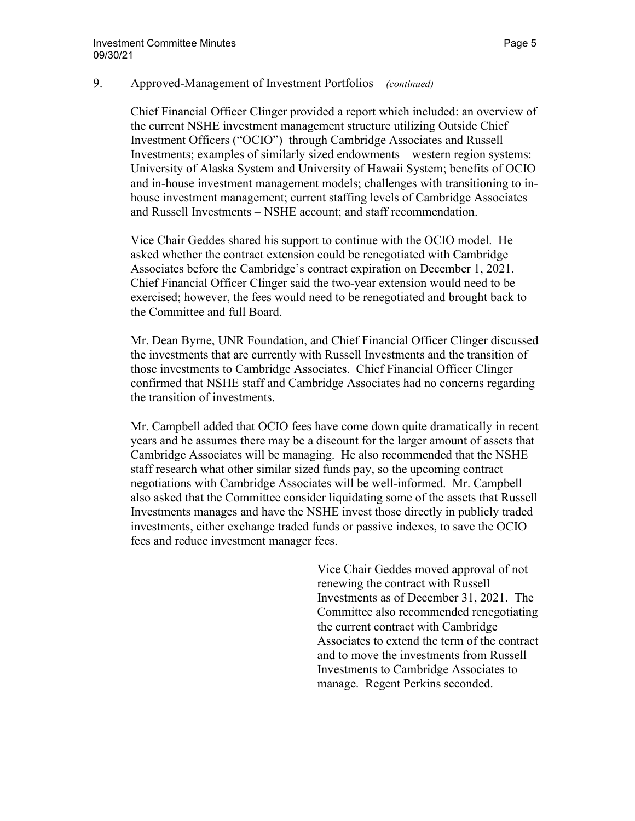## 9. Approved-Management of Investment Portfolios – *(continued)*

Chief Financial Officer Clinger provided a report which included: an overview of the current NSHE investment management structure utilizing Outside Chief Investment Officers ("OCIO") through Cambridge Associates and Russell Investments; examples of similarly sized endowments – western region systems: University of Alaska System and University of Hawaii System; benefits of OCIO and in-house investment management models; challenges with transitioning to inhouse investment management; current staffing levels of Cambridge Associates and Russell Investments – NSHE account; and staff recommendation.

Vice Chair Geddes shared his support to continue with the OCIO model. He asked whether the contract extension could be renegotiated with Cambridge Associates before the Cambridge's contract expiration on December 1, 2021. Chief Financial Officer Clinger said the two-year extension would need to be exercised; however, the fees would need to be renegotiated and brought back to the Committee and full Board.

Mr. Dean Byrne, UNR Foundation, and Chief Financial Officer Clinger discussed the investments that are currently with Russell Investments and the transition of those investments to Cambridge Associates. Chief Financial Officer Clinger confirmed that NSHE staff and Cambridge Associates had no concerns regarding the transition of investments.

Mr. Campbell added that OCIO fees have come down quite dramatically in recent years and he assumes there may be a discount for the larger amount of assets that Cambridge Associates will be managing. He also recommended that the NSHE staff research what other similar sized funds pay, so the upcoming contract negotiations with Cambridge Associates will be well-informed. Mr. Campbell also asked that the Committee consider liquidating some of the assets that Russell Investments manages and have the NSHE invest those directly in publicly traded investments, either exchange traded funds or passive indexes, to save the OCIO fees and reduce investment manager fees.

> Vice Chair Geddes moved approval of not renewing the contract with Russell Investments as of December 31, 2021. The Committee also recommended renegotiating the current contract with Cambridge Associates to extend the term of the contract and to move the investments from Russell Investments to Cambridge Associates to manage. Regent Perkins seconded.